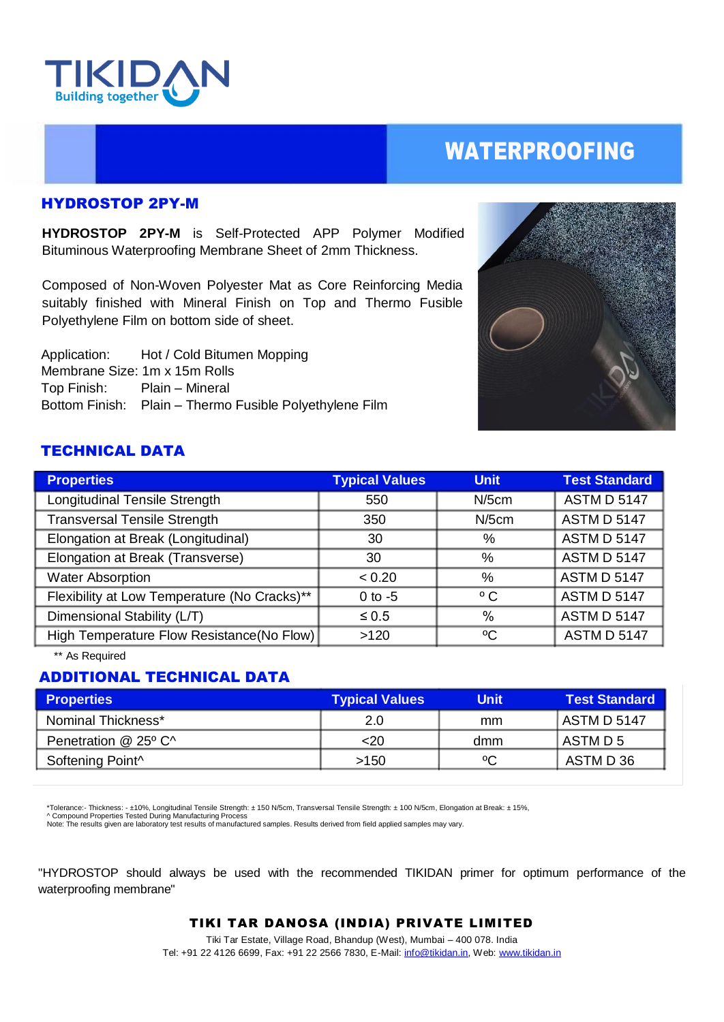

## WATERPROOFING

#### HYDROSTOP 2PY-M

**HYDROSTOP 2PY-M** is Self-Protected APP Polymer Modified Bituminous Waterproofing Membrane Sheet of 2mm Thickness.

Composed of Non-Woven Polyester Mat as Core Reinforcing Media suitably finished with Mineral Finish on Top and Thermo Fusible Polyethylene Film on bottom side of sheet.

 Application: Hot / Cold Bitumen Mopping Membrane Size: 1m x 15m Rolls Top Finish: Plain – Mineral Bottom Finish: Plain – Thermo Fusible Polyethylene Film



### TECHNICAL DATA

| <b>Properties</b>                            | <b>Typical Values</b> | <b>Unit</b>  | <b>Test Standard</b> |
|----------------------------------------------|-----------------------|--------------|----------------------|
| Longitudinal Tensile Strength                | 550                   | $N/5$ cm     | <b>ASTM D 5147</b>   |
| <b>Transversal Tensile Strength</b>          | 350                   | $N/5$ cm     | <b>ASTM D 5147</b>   |
| Elongation at Break (Longitudinal)           | 30                    | %            | <b>ASTM D 5147</b>   |
| Elongation at Break (Transverse)             | 30                    | %            | <b>ASTM D 5147</b>   |
| <b>Water Absorption</b>                      | < 0.20                | %            | <b>ASTM D 5147</b>   |
| Flexibility at Low Temperature (No Cracks)** | $0$ to $-5$           | $^{\circ}$ C | <b>ASTM D 5147</b>   |
| Dimensional Stability (L/T)                  | $\leq 0.5$            | %            | <b>ASTM D 5147</b>   |
| High Temperature Flow Resistance(No Flow)    | >120                  | $\rm ^{o}C$  | <b>ASTM D 5147</b>   |

\*\* As Required

## ADDITIONAL TECHNICAL DATA

| <b>Properties</b>            | <b>Typical Values</b> | Unit | <b>Test Standard</b> |
|------------------------------|-----------------------|------|----------------------|
| Nominal Thickness*           | 2.0                   | mm   | ASTM D 5147          |
| Penetration @ 25° C^         | <20                   | dmm  | ASTM D 5             |
| Softening Point <sup>^</sup> | >150                  | °C   | ASTM D 36            |

\*Tolerance:- Thickness: - ±10%, Longitudinal Tensile Strength: ± 150 N/5cm, Transversal Tensile Strength: ± 100 N/5cm, Elongation at Break: ± 15%, ^ Compound Properties Tested During Manufacturing Process

Note: The results given are laboratory test results of manufactured samples. Results derived from field applied samples may vary.

"HYDROSTOP should always be used with the recommended TIKIDAN primer for optimum performance of the waterproofing membrane"

TIKI TAR DANOSA (INDIA) PRIVATE LIMITED

Tiki Tar Estate, Village Road, Bhandup (West), Mumbai – 400 078. India Tel: +91 22 4126 6699, Fax: +91 22 2566 7830, E-Mail[: info@tikidan.in,](mailto:info@tikidan.in) Web: [www.tikidan.in](http://www.tikidan.in/)